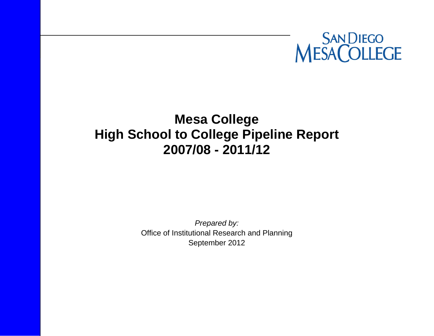

# **Mesa College High School to College Pipeline Report 2007/08 - 2011/12**

*Prepared by:*  Office of Institutional Research and Planning September 2012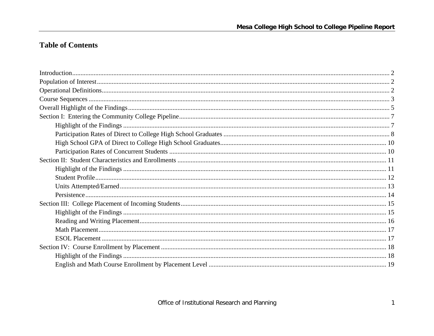# **Table of Contents**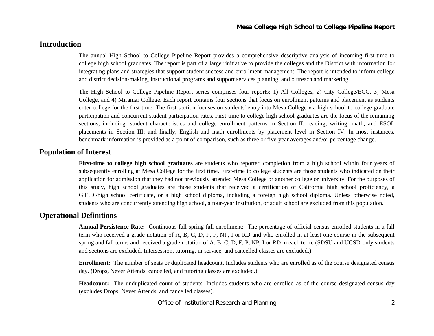## **Introduction**

The annual High School to College Pipeline Report provides a comprehensive descriptive analysis of incoming first-time to college high school graduates. The report is part of a larger initiative to provide the colleges and the District with information for integrating plans and strategies that support student success and enrollment management. The report is intended to inform college and district decision-making, instructional programs and support services planning, and outreach and marketing.

The High School to College Pipeline Report series comprises four reports: 1) All Colleges, 2) City College/ECC, 3) Mesa College, and 4) Miramar College. Each report contains four sections that focus on enrollment patterns and placement as students enter college for the first time. The first section focuses on students' entry into Mesa College via high school-to-college graduate participation and concurrent student participation rates. First-time to college high school graduates are the focus of the remaining sections, including: student characteristics and college enrollment patterns in Section II; reading, writing, math, and ESOL placements in Section III; and finally, English and math enrollments by placement level in Section IV. In most instances, benchmark information is provided as a point of comparison, such as three or five-year averages and/or percentage change.

#### **Population of Interest**

**First-time to college high school graduates** are students who reported completion from a high school within four years of subsequently enrolling at Mesa College for the first time. First-time to college students are those students who indicated on their application for admission that they had not previously attended Mesa College or another college or university. For the purposes of this study, high school graduates are those students that received a certification of California high school proficiency, a G.E.D./high school certificate, or a high school diploma, including a foreign high school diploma. Unless otherwise noted, students who are concurrently attending high school, a four-year institution, or adult school are excluded from this population.

## **Operational Definitions**

**Annual Persistence Rate:** Continuous fall-spring-fall enrollment: The percentage of official census enrolled students in a fall term who received a grade notation of A, B, C, D, F, P, NP, I or RD and who enrolled in at least one course in the subsequent spring and fall terms and received a grade notation of A, B, C, D, F, P, NP, I or RD in each term. (SDSU and UCSD-only students and sections are excluded. Intersession, tutoring, in-service, and cancelled classes are excluded.)

**Enrollment:** The number of seats or duplicated headcount. Includes students who are enrolled as of the course designated census day. (Drops, Never Attends, cancelled, and tutoring classes are excluded.)

**Headcount:** The unduplicated count of students. Includes students who are enrolled as of the course designated census day (excludes Drops, Never Attends, and cancelled classes).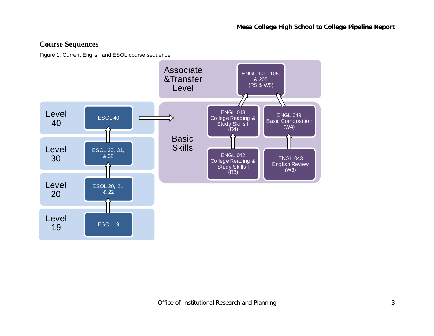# **Course Sequences**

Figure 1. Current English and ESOL course sequence

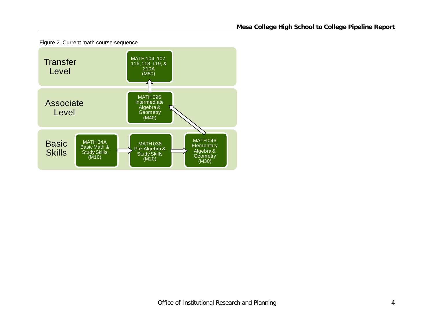

Figure 2. Current math course sequence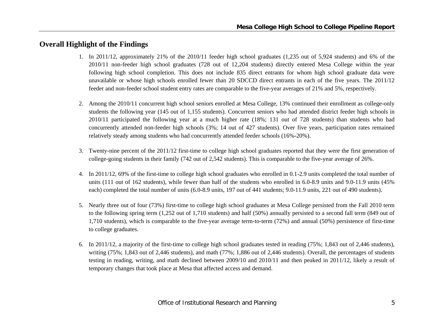# **Overall Highlight of the Findings**

- 1. In 2011/12, approximately 21% of the 2010/11 feeder high school graduates (1,235 out of 5,924 students) and 6% of the 2010/11 non-feeder high school graduates (728 out of 12,204 students) directly entered Mesa College within the year following high school completion. This does not include 835 direct entrants for whom high school graduate data were unavailable or whose high schools enrolled fewer than 20 SDCCD direct entrants in each of the five years. The 2011/12 feeder and non-feeder school student entry rates are comparable to the five-year averages of 21% and 5%, respectively.
- 2. Among the 2010/11 concurrent high school seniors enrolled at Mesa College, 13% continued their enrollment as college-only students the following year (145 out of 1,155 students). Concurrent seniors who had attended district feeder high schools in 2010/11 participated the following year at a much higher rate (18%; 131 out of 728 students) than students who had concurrently attended non-feeder high schools (3%; 14 out of 427 students). Over five years, participation rates remained relatively steady among students who had concurrently attended feeder schools (16%-20%).
- 3. Twenty-nine percent of the 2011/12 first-time to college high school graduates reported that they were the first generation of college-going students in their family (742 out of 2,542 students). This is comparable to the five-year average of 26%.
- 4. In 2011/12, 69% of the first-time to college high school graduates who enrolled in 0.1-2.9 units completed the total number of units (111 out of 162 students), while fewer than half of the students who enrolled in 6.0-8.9 units and 9.0-11.9 units (45% each) completed the total number of units (6.0-8.9 units, 197 out of 441 students; 9.0-11.9 units, 221 out of 490 students).
- 5. Nearly three out of four (73%) first-time to college high school graduates at Mesa College persisted from the Fall 2010 term to the following spring term (1,252 out of 1,710 students) and half (50%) annually persisted to a second fall term (849 out of 1,710 students), which is comparable to the five-year average term-to-term (72%) and annual (50%) persistence of first-time to college graduates.
- 6. In 2011/12, a majority of the first-time to college high school graduates tested in reading (75%; 1,843 out of 2,446 students), writing (75%; 1,843 out of 2,446 students), and math (77%; 1,886 out of 2,446 students). Overall, the percentages of students testing in reading, writing, and math declined between 2009/10 and 2010/11 and then peaked in 2011/12, likely a result of temporary changes that took place at Mesa that affected access and demand.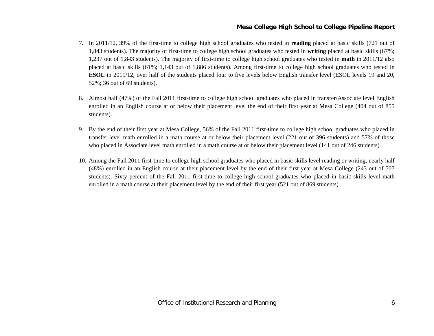- 7. In 2011/12, 39% of the first-time to college high school graduates who tested in **reading** placed at basic skills (721 out of 1,843 students). The majority of first-time to college high school graduates who tested in **writing** placed at basic skills (67%; 1,237 out of 1,843 students). The majority of first-time to college high school graduates who tested in **math** in 2011/12 also placed at basic skills (61%; 1,143 out of 1,886 students). Among first-time to college high school graduates who tested in **ESOL** in 2011/12, over half of the students placed four to five levels below English transfer level (ESOL levels 19 and 20, 52%; 36 out of 69 students).
- 8. Almost half (47%) of the Fall 2011 first-time to college high school graduates who placed in transfer/Associate level English enrolled in an English course at or below their placement level the end of their first year at Mesa College (404 out of 855 students).
- 9. By the end of their first year at Mesa College, 56% of the Fall 2011 first-time to college high school graduates who placed in transfer level math enrolled in a math course at or below their placement level (221 out of 396 students) and 57% of those who placed in Associate level math enrolled in a math course at or below their placement level (141 out of 246 students).
- 10. Among the Fall 2011 first-time to college high school graduates who placed in basic skills level reading or writing, nearly half (48%) enrolled in an English course at their placement level by the end of their first year at Mesa College (243 out of 507 students). Sixty percent of the Fall 2011 first-time to college high school graduates who placed in basic skills level math enrolled in a math course at their placement level by the end of their first year (521 out of 869 students).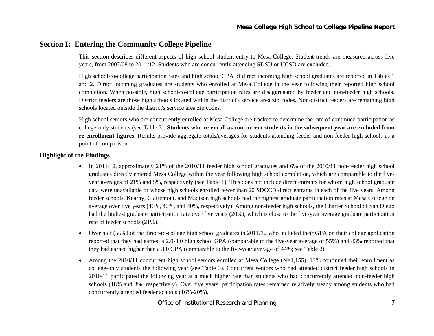## **Section I: Entering the Community College Pipeline**

This section describes different aspects of high school student entry to Mesa College. Student trends are measured across five years, from 2007/08 to 2011/12. Students who are concurrently attending SDSU or UCSD are excluded.

High school-to-college participation rates and high school GPA of direct incoming high school graduates are reported in Tables 1 and 2. Direct incoming graduates are students who enrolled at Mesa College in the year following their reported high school completion. When possible, high school-to-college participation rates are disaggregated by feeder and non-feeder high schools. District feeders are those high schools located within the district's service area zip codes. Non-district feeders are remaining high schools located outside the district's service area zip codes.

High school seniors who are concurrently enrolled at Mesa College are tracked to determine the rate of continued participation as college-only students (see Table 3). **Students who re-enroll as concurrent students in the subsequent year are excluded from re-enrollment figures.** Results provide aggregate totals/averages for students attending feeder and non-feeder high schools as a point of comparison.

#### **Highlight of the Findings**

- In 2011/12, approximately 21% of the 2010/11 feeder high school graduates and 6% of the 2010/11 non-feeder high school graduates directly entered Mesa College within the year following high school completion, which are comparable to the fiveyear averages of 21% and 5%, respectively (see Table 1). This does not include direct entrants for whom high school graduate data were unavailable or whose high schools enrolled fewer than 20 SDCCD direct entrants in each of the five years. Among feeder schools, Kearny, Clairemont, and Madison high schools had the highest graduate participation rates at Mesa College on average over five years (46%, 40%, and 40%, respectively). Among non-feeder high schools, the Charter School of San Diego had the highest graduate participation rate over five years (20%), which is close to the five-year average graduate participation rate of feeder schools (21%).
- $\bullet$  Over half (56%) of the direct-to-college high school graduates in 2011/12 who included their GPA on their college application reported that they had earned a 2.0-3.0 high school GPA (comparable to the five-year average of 55%) and 43% reported that they had earned higher than a 3.0 GPA (comparable to the five-year average of 44%; see Table 2).
- e Among the 2010/11 concurrent high school seniors enrolled at Mesa College (N=1,155), 13% continued their enrollment as college-only students the following year (see Table 3). Concurrent seniors who had attended district feeder high schools in 2010/11 participated the following year at a much higher rate than students who had concurrently attended non-feeder high schools (18% and 3%, respectively). Over five years, participation rates remained relatively steady among students who had concurrently attended feeder schools (16%-20%).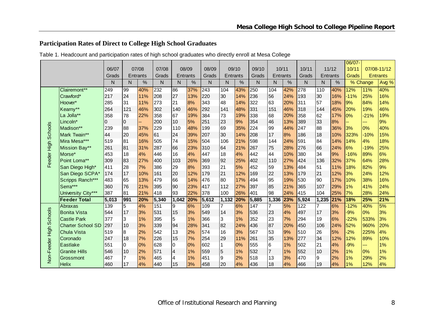# **Participation Rates of Direct to College High School Graduates**

|                     |                          |                |                |                 |       |                 |     |       |                |                 |       |                |     |       |                |     | 06/07- |          |                 |
|---------------------|--------------------------|----------------|----------------|-----------------|-------|-----------------|-----|-------|----------------|-----------------|-------|----------------|-----|-------|----------------|-----|--------|----------|-----------------|
|                     |                          | 06/07          |                | 07/08           | 07/08 | 08/09           |     | 08/09 |                | 09/10           | 09/10 | 10/11          |     | 10/11 | 11/12          |     | 10/11  |          | 07/08-11/12     |
|                     |                          | Grads          |                | <b>Entrants</b> | Grads | <b>Entrants</b> |     | Grads |                | <b>Entrants</b> | Grads | Entrants       |     | Grads | Entrants       |     | Grads  |          | <b>Entrants</b> |
|                     |                          | N              | N.             | %               | N     | N               | %   | N     | N              | %               | N     | N              | %   | N     | N              | %   |        | % Change | Avg %           |
|                     |                          |                |                |                 |       |                 |     |       |                |                 |       |                |     |       |                |     |        |          |                 |
|                     | Clairemont**             | 249            | 99             | 40%             | 232   | 86              | 37% | 243   | 104            | 43%             | 250   | 104            | 42% | 278   | 110            | 40% | 12%    | 11%      | 40%             |
|                     | Crawford*                | 217            | 24             | 11%             | 208   | 27              | 13% | 220   | 30             | 14%             | 236   | 56             | 24% | 193   | 30             | 16% | $-11%$ | 25%      | 16%             |
|                     | Hoover*                  | 285            | 31             | 11%             | 273   | 21              | 8%  | 343   | 48             | 14%             | 322   | 63             | 20% | 311   | 57             | 18% | 9%     | 84%      | 14%             |
|                     | Kearny**                 | 264            | 121            | 46%             | 302   | 140             | 46% | 292   | 141            | 48%             | 331   | 151            | 46% | 318   | 144            | 45% | 20%    | 19%      | 46%             |
|                     | La Jolla**               | 358            | 78             | 22%             | 358   | 67              | 19% | 384   | 73             | 19%             | 338   | 68             | 20% | 358   | 62             | 17% | 0%     | $-21%$   | 19%             |
|                     | Lincoln*                 | $\overline{0}$ | 10             |                 | 200   | 10              | 5%  | 251   | 23             | 9%              | 354   | 46             | 13% | 389   | 33             | 8%  |        | ---      | 9%              |
|                     | Madison**                | 239            | 88             | 37%             | 229   | 110             | 48% | 199   | 69             | 35%             | 224   | 99             | 44% | 247   | 88             | 36% | 3%     | 0%       | 40%             |
|                     | Mark Twain**             | 44             | 20             | 45%             | 61    | 24              | 39% | 207   | 30             | 14%             | 208   | 17             | 8%  | 186   | 18             | 10% | 323%   | $-10%$   | 15%             |
|                     | Mira Mesa***             | 519            | 81             | 16%             | 505   | 74              | 15% | 504   | 106            | 21%             | 598   | 144            | 24% | 591   | 84             | 14% | 14%    | 4%       | 18%             |
|                     | Mission Bay**            | 261            | 81             | 31%             | 287   | 66              | 23% | 310   | 64             | 21%             | 267   | 75             | 28% | 276   | 66             | 24% | 6%     | $-19%$   | 25%             |
|                     | Morse*                   | 453            | 18             | 4%              | 446   | 16              | 4%  | 447   | 18             | 4%              | 442   | 44             | 10% | 380   | 34             | 9%  | $-16%$ | 89%      | 6%              |
| Feeder High Schools | Point Loma**             | 309            | 83             | 27%             | 400   | 103             | 26% | 369   | 92             | 25%             | 402   | 110            | 27% | 424   | 136            | 32% | 37%    | 64%      | 28%             |
|                     | San Diego High*          | 411            | 28             | 7%              | 386   | 29              | 8%  | 393   | 21             | 5%              | 452   | 59             | 13% | 484   | 51             | 11% | 18%    | 82%      | 9%              |
|                     | San Diego SCPA*          | 174            | 17             | 10%             | 161   | 20              | 12% | 179   | 21             | 12%             | 169   | 22             | 13% | 179   | 21             | 12% | 3%     | 24%      | 12%             |
|                     | Scripps Ranch***         | 483            | 65             | 13%             | 479   | 66              | 14% | 476   | 80             | 17%             | 494   | 95             | 19% | 530   | 90             | 17% | 10%    | 38%      | 16%             |
|                     | Serra***                 | 360            | 76             | 21%             | 395   | 90              | 23% | 417   | 112            | 27%             | 397   | 85             | 21% | 365   | 107            | 29% | 1%     | 41%      | 24%             |
|                     | University City***       | 387            | 81             | 21%             | 418   | 93              | 22% | 378   | 100            | 26%             | 401   | 98             | 24% | 415   | 104            | 25% | 7%     | 28%      | 24%             |
|                     | <b>Feeder Total</b>      | 5,013          | 991            | 20%             | 5,340 | 1,042           | 20% | 5,612 | 1,132          | 20%             | 5,885 | 1,336          | 23% | 5,924 | 1,235          | 21% | 18%    | 25%      | 21%             |
|                     | Abraxas                  | 139            | $\overline{5}$ | 4%              | 151   | 9               | 6%  | 109   | $\overline{7}$ | 6%              | 147   | $\overline{7}$ | 5%  | 122   | $\overline{7}$ | 6%  | $-12%$ | 40%      | 5%              |
|                     | <b>Bonita Vista</b>      | 544            | 17             | 3%              | 531   | 15              | 3%  | 549   | 14             | 3%              | 536   | 23             | 4%  | 497   | 17             | 3%  | $-9%$  | 0%       | 3%              |
| <b>Schools</b>      | <b>Castle Park</b>       | 377            | 3              | 1%              | 395   | 5               | 1%  | 366   | 3              | 1%              | 352   | 23             | 7%  | 294   | 19             | 6%  | $-22%$ | 533%     | 3%              |
|                     | <b>Charter School SD</b> | 297            | 10             | 3%              | 339   | 94              | 28% | 341   | 82             | 24%             | 436   | 87             | 20% | 450   | 106            | 24% | 52%    | 960%     | 20%             |
|                     | <b>Chula Vista</b>       | 519            | 8              | 2%              | 542   | 13              | 2%  | 574   | 16             | 3%              | 567   | 53             | 9%  | 510   | 26             | 5%  | $-2%$  | 225%     | 4%              |
|                     | Coronado                 | 247            | 18             | 7%              | 226   | 15              | 7%  | 254   | 29             | 11%             | 261   | 35             | 13% | 277   | 34             | 12% | 12%    | 89%      | 10%             |
| Non-Feeder High     | <b>Eastlake</b>          | 551            | 10             | 0%              | 628   | l0              | 0%  | 602   | $\mathbf{1}$   | 0%              | 555   | 16             | 1%  | 502   | 21             | 4%  | $-9%$  | ---      | 1%              |
|                     | <b>Granite Hills</b>     | 546            | 10             | 2%              | 571   | $\overline{4}$  | 1%  | 559   | $\overline{5}$ | 1%              | 532   | $\overline{7}$ | 1%  | 552   | 10             | 2%  | 1%     | 0%       | 1%              |
|                     | Grossmont                | 467            |                | 1%              | 465   | 4               | 1%  | 451   | 9              | 2%              | 518   | 13             | 3%  | 470   | 9              | 2%  | 1%     | 29%      | 2%              |
|                     | <b>Helix</b>             | 460            | <b>17</b>      | 4%              | 440   | 15              | 3%  | 458   | 20             | 4%              | 436   | 18             | 4%  | 466   | 19             | 4%  | 1%     | 12%      | 4%              |

Table 1. Headcount and participation rates of high school graduates who directly enroll at Mesa College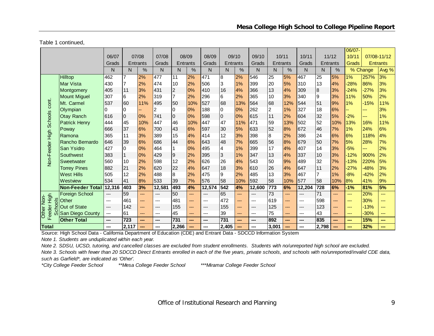Table 1 continued,

|                           |                         |                        |       |          |        |                 |               |        |                |     |        |                |      |        |                  |      | 06/07-        |          |                 |
|---------------------------|-------------------------|------------------------|-------|----------|--------|-----------------|---------------|--------|----------------|-----|--------|----------------|------|--------|------------------|------|---------------|----------|-----------------|
|                           |                         | 06/07                  |       | 07/08    | 07/08  | 08/09           |               | 08/09  | 09/10          |     | 09/10  | 10/11          |      | 10/11  | 11/12            |      | 10/11         |          | 07/08-11/12     |
|                           |                         | Grads                  |       | Entrants | Grads  | <b>Entrants</b> |               | Grads  | Entrants       |     | Grads  | Entrants       |      | Grads  | <b>Entrants</b>  |      | Grads         |          | <b>Entrants</b> |
|                           |                         | N                      | N     | %        | N      | N               | $\frac{0}{0}$ | N      | N              | %   | N      | N              | $\%$ | N.     | N                | $\%$ |               | % Change | Avg %           |
|                           | Hilltop                 | 462                    | 7     | 2%       | 477    | 11              | 2%            | 471    | 8              | 2%  | 546    | 25             | 5%   | 467    | 25               | 5%   | 1%            | 257%     | 3%              |
|                           | Mar Vista               | 430                    |       | 2%       | 474    | 10              | 2%            | 506    | 3              | 1%  | 399    | 20             | 5%   | 310    | 13               | 4%   | $-28%$        | 86%      | 3%              |
|                           | Montgomery              | 405                    | 11    | 3%       | 431    | $\overline{2}$  | 0%            | 410    | 16             | 4%  | 366    | 13             | 4%   | 309    | $\boldsymbol{8}$ | 3%   | $-24%$        | $-27%$   | 3%              |
|                           | <b>Mount Miguel</b>     | 307                    | 6     | 2%       | 319    | 17              | 2%            | 296    | 6              | 2%  | 365    | 10             | 3%   | 340    | 9                | 3%   | 11%           | 50%      | 2%              |
| cont.                     | Mt. Carmel              | 537                    | 60    | 11%      | 495    | 50              | 10%           | 527    | 68             | 13% | 564    | 168            | 12%  | 544    | 51               | 9%   | 1%            | $-15%$   | 11%             |
|                           | Olympian                | 0                      | 0     |          | 2      | I0              | 0%            | 188    | $\mathbf 0$    | 0%  | 262    | $\overline{2}$ | 1%   | 327    | 18               | 6%   |               | ---      | 3%              |
|                           | <b>Otay Ranch</b>       | 616                    | 0     | 0%       | 741    | l0              | 0%            | 598    | $\overline{0}$ | 0%  | 615    | 11             | 2%   | 604    | 32               | 5%   | $-2%$         | ---      | 1%              |
| <b>Schools</b>            | <b>Patrick Henry</b>    | 444                    | 45    | 10%      | 447    | 46              | 10%           | 447    | 47             | 11% | 471    | 59             | 13%  | 502    | 52               | 10%  | 13%           | 16%      | 11%             |
|                           | Poway                   | 666                    | 37    | 6%       | 700    | 43              | 6%            | 597    | 30             | 5%  | 633    | 52             | 8%   | 672    | 46               | 7%   | 1%            | 24%      | 6%              |
|                           | Ramona                  | 365                    | 11    | 3%       | 389    | 15              | 4%            | 414    | 12             | 3%  | 398    | 8              | 2%   | 386    | 24               | 6%   | 6%            | 118%     | 4%              |
|                           | Rancho Bernardo         | 646                    | 39    | 6%       | 686    | 44              | 6%            | 643    | 48             | 7%  | 665    | 56             | 8%   | 679    | 50               | 7%   | 5%            | 28%      | 7%              |
|                           | San Ysidro              | 427                    | 0     | 0%       | 464    | $\overline{1}$  | 0%            | 495    | 4              | 1%  | 399    | 17             | 4%   | 407    | 14               | 3%   | $-5%$         | ---      | 2%              |
|                           | Southwest               | 383                    |       | 0%       | 429    | 9               | 2%            | 395    | 3              | 1%  | 347    | 13             | 4%   | 337    | 10               | 3%   | $-12%$        | 900%     | 2%              |
| Non-Feeder High           | Sweetwater              | 560                    | 10    | 2%       | 598    | 12              | 2%            | 626    | 26             | 4%  | 543    | 50             | 9%   | 489    | 32               | 7%   | $-13%$        | 220%     | 5%              |
|                           | <b>Torrey Pines</b>     | 882                    | 21    | 2%       | 620    | 22              | 4%            | 647    | 18             | 3%  | 610    | 26             | 4%   | 647    | 11               | 2%   | $-27%$        | $-48%$   | 3%              |
|                           | <b>West Hills</b>       | 505                    | 12    | 2%       | 488    | 8               | 2%            | 475    | 9              | 2%  | 485    | 13             | 3%   | 467    | $\overline{7}$   | 1%   | $-8%$         | $-42%$   | 2%              |
|                           | Westview                | 534                    | 41    | 8%       | 533    | 39              | 7%            | 576    | 58             | 10% | 592    | 58             | 10%  | 577    | 58               | 10%  | 8%            | 41%      | 9%              |
|                           | <b>Non-Feeder Total</b> | 12,316                 | 403   | 3%       | 12,581 | 493             | 4%            | 12,574 | 542            | 4%  | 12,600 | 773            | 6%   | 12,204 | 728              | 6%   | $-1%$         | 81%      | 5%              |
|                           | <b>Foreign School</b>   | $---$                  | 59    | ---      | $---$  | 50              | ---           | $---$  | 65             | --- | ---    | 73             | ---  | $---$  | 71               | ---  | ---           | 20%      | ---             |
| $rac{1}{2}$               | Other                   | $\qquad \qquad \cdots$ | 461   | ---      | $---$  | 481             | ---           | ---    | 472            | --- | ---    | 619            | ---  | ---    | 598              | ---  | ---           | 30%      | ---             |
| ğ                         | Out of State            | ---                    | 142   | ---      | $---$  | 155             | ---           | ---    | 155            | --- | ---    | 125            | ---  | ---    | 123              | ---  | ---           | $-13%$   | ---             |
| Feeder High<br>Other Non- | တိုဒan Diego County     | ---                    | 61    | ---      | $---$  | 45              | ---           | ---    | 39             | --- | ---    | 75             | ---  | ---    | 43               | ---  | $\frac{1}{2}$ | $-30%$   | ---             |
|                           | <b>Other Total</b>      | $\qquad \qquad \cdots$ | 723   | ---      | ---    | 731             | ---           | ---    | 731            | --- | ---    | 892            | ---  | ---    | 835              | ---  | ---           | 15%      | ---             |
| Total                     |                         | ---                    | 2.117 |          | ---    | 2,266           | ---           |        | 2,405          | --- |        | 3,001          | ---  |        | 2,798            | ---  |               | 32%      | ---             |

Source: High School Data - California Department of Education (CDE) and Entrant Data - SDCCD Information System

*Note 1. Students are unduplicated within each year.*

*Note 2. SDSU, UCSD, tutoring, and cancelled classes are excluded from student enrollments. Students with no/unreported high school are excluded.*

*Note 3. Schools with fewer than 20 SDCCD Direct Entrants enrolled in each of the five years, private schools, and schools with no/unreported/invalid CDE data, such as Garfield\*, are indicated as 'Other'.*

*\*City College Feeder School \*\*Mesa College Feeder School \*\*\*Miramar College Feeder School*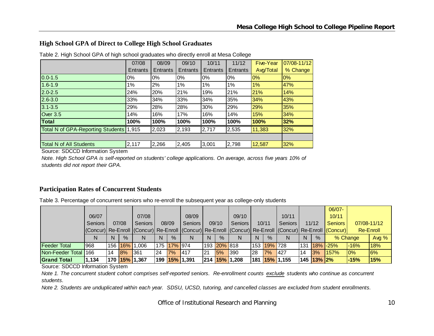#### **High School GPA of Direct to College High School Graduates**

|                                         | 07/08    | 08/09    | 09/10    | 10/11    | 11/12           | <b>Five-Year</b> | 07/08-11/12 |
|-----------------------------------------|----------|----------|----------|----------|-----------------|------------------|-------------|
|                                         | Entrants | Entrants | Entrants | Entrants | <b>Entrants</b> | Avg/Total        | % Change    |
| $0.0 - 1.5$                             | $0\%$    | 0%       | 0%       | $0\%$    | 0%              | 0%               | 0%          |
| $1.6 - 1.9$                             | 1%       | 2%       | 1%       | 1%       | $1\%$           | 1%               | 47%         |
| $2.0 - 2.5$                             | 24%      | 20%      | 21%      | 19%      | 21%             | 21%              | 14%         |
| $2.6 - 3.0$                             | 33%      | 34%      | 33%      | 34%      | 35%             | 34%              | 43%         |
| $3.1 - 3.5$                             | 29%      | 28%      | 28%      | 30%      | 29%             | 29%              | 35%         |
| Over 3.5                                | 14%      | 16%      | 17%      | 16%      | 14%             | 15%              | 34%         |
| <b>Total</b>                            | 100%     | 100%     | 100%     | 100%     | 100%            | 100%             | 32%         |
| Total N of GPA-Reporting Students 1,915 |          | 2,023    | 2,193    | 2,717    | 2,535           | 11,383           | 32%         |
|                                         |          |          |          |          |                 |                  |             |
| <b>Total N of All Students</b>          | 2,117    | 2,266    | 2,405    | 3,001    | 2,798           | 12,587           | 32%         |

Table 2. High School GPA of high school graduates who directly enroll at Mesa College

Source: SDCCD Information System

*Note. High School GPA is self-reported on students' college applications. On average, across five years 10% of students did not report their GPA.*

#### **Participation Rates of Concurrent Students**

Table 3. Percentage of concurrent seniors who re-enroll the subsequent year as college-only students

|                      |                                                                                                         |    |       |               |    |             |               |    |             |                |     |             |              |    |              | $06/07 -$        |        |             |
|----------------------|---------------------------------------------------------------------------------------------------------|----|-------|---------------|----|-------------|---------------|----|-------------|----------------|-----|-------------|--------------|----|--------------|------------------|--------|-------------|
|                      | 06/07                                                                                                   |    |       | 07/08         |    |             | 08/09         |    |             | 09/10          |     |             | 10/11        |    |              | 10/11            |        |             |
|                      | <b>Seniors</b>                                                                                          |    | 07/08 | Seniors       |    | 08/09       | Seniors       |    | 09/10       | <b>Seniors</b> |     | 10/11       | Seniors      |    | 11/12        | <b>Seniors</b>   |        | 07/08-11/12 |
|                      | (Concur) Re-Enroll (Concur) Re-Enroll (Concur) Re-Enroll (Concur) Re-Enroll (Concur) Re-Enroll (Concur) |    |       |               |    |             |               |    |             |                |     |             |              |    |              |                  |        | Re-Enroll   |
|                      | N                                                                                                       |    | $\%$  |               | N  | $\%$        | N             | N. | $\%$        | N              | N   | $\%$        | N            | N  | %            | % Change         |        | Avg %       |
| <b>Feeder Total</b>  | 968                                                                                                     |    |       | 156 16% 1,006 |    | 175 17% 974 |               |    | 193 20% 818 |                |     | 153 19% 728 |              |    |              | $131$ 18% $-25%$ | $-16%$ | 18%         |
| Non-Feeder Total 166 |                                                                                                         | 14 | 8%    | 361           | 24 | 7%          | <b>1417</b>   | 21 | 5%          | <b>390</b>     | l28 | 7%          | 427          | 14 | 3%           | 157%             | 10%    | 6%          |
| <b>Grand Total</b>   | 1,134                                                                                                   |    |       | 170 15% 1,367 |    |             | 199 15% 1,391 |    |             | 214 15% 1,208  | 181 |             | $15\%$ 1,155 |    | $145$ 13% 2% |                  | l-15%  | 15%         |

Source: SDCCD Information System

*Note 1. The concurrent student cohort comprises self-reported seniors. Re-enrollment counts exclude students who continue as concurrent students.* 

*Note 2. Students are unduplicated within each year. SDSU, UCSD, tutoring, and cancelled classes are excluded from student enrollments.*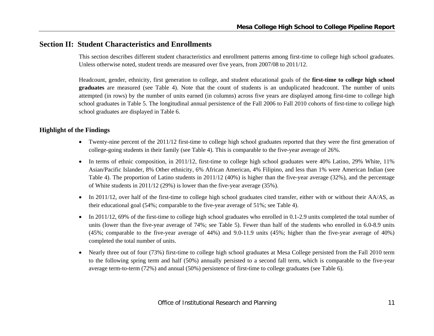# **Section II: Student Characteristics and Enrollments**

This section describes different student characteristics and enrollment patterns among first-time to college high school graduates. Unless otherwise noted, student trends are measured over five years, from 2007/08 to 2011/12.

Headcount, gender, ethnicity, first generation to college, and student educational goals of the **first-time to college high school graduates** are measured (see Table 4). Note that the count of students is an unduplicated headcount. The number of units attempted (in rows) by the number of units earned (in columns) across five years are displayed among first-time to college high school graduates in Table 5. The longitudinal annual persistence of the Fall 2006 to Fall 2010 cohorts of first-time to college high school graduates are displayed in Table 6.

#### **Highlight of the Findings**

- Twenty-nine percent of the 2011/12 first-time to college high school graduates reported that they were the first generation of college-going students in their family (see Table 4). This is comparable to the five-year average of 26%.
- In terms of ethnic composition, in 2011/12, first-time to college high school graduates were 40% Latino, 29% White, 11% Asian/Pacific Islander, 8% Other ethnicity, 6% African American, 4% Filipino, and less than 1% were American Indian (see Table 4). The proportion of Latino students in 2011/12 (40%) is higher than the five-year average (32%), and the percentage of White students in 2011/12 (29%) is lower than the five-year average (35%).
- In 2011/12, over half of the first-time to college high school graduates cited transfer, either with or without their AA/AS, as their educational goal (54%; comparable to the five-year average of 51%; see Table 4).
- In 2011/12, 69% of the first-time to college high school graduates who enrolled in 0.1-2.9 units completed the total number of units (lower than the five-year average of 74%; see Table 5). Fewer than half of the students who enrolled in 6.0-8.9 units (45%; comparable to the five-year average of 44%) and 9.0-11.9 units (45%; higher than the five-year average of 40%) completed the total number of units.
- 0 Nearly three out of four (73%) first-time to college high school graduates at Mesa College persisted from the Fall 2010 term to the following spring term and half (50%) annually persisted to a second fall term, which is comparable to the five-year average term-to-term (72%) and annual (50%) persistence of first-time to college graduates (see Table 6).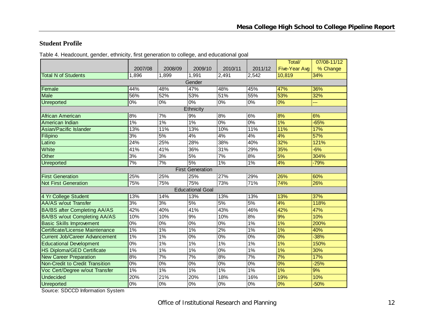#### **Student Profile**

| Table 4. Headcount, gender, ethnicity, first generation to college, and educational goal |  |  |  |  |  |  |  |  |  |  |
|------------------------------------------------------------------------------------------|--|--|--|--|--|--|--|--|--|--|
|------------------------------------------------------------------------------------------|--|--|--|--|--|--|--|--|--|--|

|                                       |                  |         |                         |         |                  | Total/               | 07/08-11/12 |
|---------------------------------------|------------------|---------|-------------------------|---------|------------------|----------------------|-------------|
|                                       | 2007/08          | 2008/09 | 2009/10                 | 2010/11 | 2011/12          | <b>Five-Year Avg</b> | % Change    |
| <b>Total N of Students</b>            | 1,896            | 1,899   | 1,991                   | 2,491   | 2,542            | 10,819               | 34%         |
|                                       |                  |         | Gender                  |         |                  |                      |             |
| Female                                | 44%              | 48%     | 47%                     | 48%     | 45%              | 47%                  | 36%         |
| <b>Male</b>                           | 56%              | 52%     | 53%                     | 51%     | 55%              | 53%                  | 32%         |
| <b>Unreported</b>                     | 0%               | $0\%$   | $0\%$                   | 0%      | $\overline{0\%}$ | 0%                   |             |
|                                       |                  |         | Ethnicity               |         |                  |                      |             |
| African American                      | 8%               | 7%      | 9%                      | 8%      | 6%               | 8%                   | 6%          |
| American Indian                       | 1%               | 1%      | 1%                      | 0%      | 0%               | 1%                   | $-65%$      |
| Asian/Pacific Islander                | 13%              | 11%     | 13%                     | 10%     | 11%              | 11%                  | 17%         |
| Filipino                              | 3%               | 5%      | 4%                      | 4%      | 4%               | 4%                   | 57%         |
| Latino                                | 24%              | 25%     | 28%                     | 38%     | 40%              | 32%                  | 121%        |
| White                                 | 41%              | 41%     | 36%                     | 31%     | 29%              | 35%                  | $-6%$       |
| Other                                 | 3%               | 3%      | 5%                      | 7%      | 8%               | 5%                   | 304%        |
| Unreported                            | 7%               | 7%      | 5%                      | 1%      | $1\%$            | 4%                   | $-79%$      |
|                                       |                  |         | <b>First Generation</b> |         |                  |                      |             |
| <b>First Generation</b>               | 25%              | 25%     | 25%                     | 27%     | 29%              | 26%                  | 60%         |
| <b>Not First Generation</b>           | 75%              | 75%     | 75%                     | 73%     | 71%              | 74%                  | 26%         |
|                                       |                  |         | <b>Educational Goal</b> |         |                  |                      |             |
| 4 Yr College Student                  | 13%              | 14%     | 13%                     | 13%     | 13%              | 13%                  | 37%         |
| <b>AA/AS w/out Transfer</b>           | 3%               | 3%      | 5%                      | 5%      | 5%               | 4%                   | 118%        |
| <b>BA/BS after Completing AA/AS</b>   | 42%              | 40%     | 41%                     | 43%     | 46%              | 42%                  | 47%         |
| <b>BA/BS w/out Completing AA/AS</b>   | 10%              | 10%     | 9%                      | 10%     | 8%               | 9%                   | 10%         |
| <b>Basic Skills Improvement</b>       | $\overline{0\%}$ | 0%      | $0\%$                   | 0%      | 1%               | 1%                   | 200%        |
| Certificate/License Maintenance       | 1%               | 1%      | 1%                      | 2%      | 1%               | 1%                   | 40%         |
| <b>Current Job/Career Advancement</b> | 1%               | 1%      | 0%                      | 0%      | 0%               | 0%                   | $-38%$      |
| <b>Educational Development</b>        | 0%               | 1%      | $1\%$                   | 1%      | 1%               | 1%                   | 150%        |
| <b>HS Diploma/GED Certificate</b>     | $1\%$            | $1\%$   | $1\%$                   | 0%      | 1%               | 1%                   | 30%         |
| <b>New Career Preparation</b>         | 8%               | 7%      | 7%                      | 8%      | 7%               | 7%                   | 17%         |
| Non-Credit to Credit Transition       | 0%               | $0\%$   | $\overline{0\%}$        | 0%      | $\overline{0\%}$ | $\overline{0\%}$     | $-25%$      |
| Voc Cert/Degree w/out Transfer        | 1%               | 1%      | 1%                      | 1%      | 1%               | 1%                   | 9%          |
| <b>Undecided</b>                      | 20%              | 21%     | 20%                     | 18%     | 16%              | 19%                  | 10%         |
| Unreported                            | 0%               | $0\%$   | $\overline{0\%}$        | 0%      | $\overline{0\%}$ | 0%                   | $-50%$      |

Source: SDCCD Information System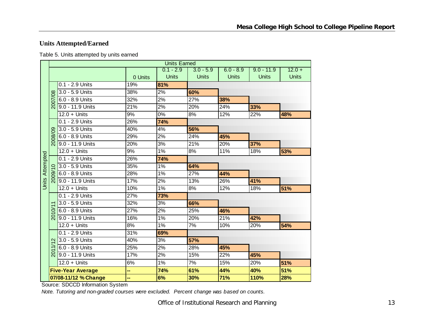# **Units Attempted/Earned**

Table 5. Units attempted by units earned

|                        |                   |                          |         | <b>Units Earned</b> |              |              |              |              |
|------------------------|-------------------|--------------------------|---------|---------------------|--------------|--------------|--------------|--------------|
|                        |                   |                          |         | $0.1 - 2.9$         | $3.0 - 5.9$  | $6.0 - 8.9$  | $9.0 - 11.9$ | $12.0 +$     |
|                        |                   |                          | 0 Units | <b>Units</b>        | <b>Units</b> | <b>Units</b> | <b>Units</b> | <b>Units</b> |
|                        |                   | 0.1 - 2.9 Units          | 19%     | 81%                 |              |              |              |              |
|                        |                   | 3.0 - 5.9 Units          | 38%     | 2%                  | 60%          |              |              |              |
|                        | 2007/08           | 6.0 - 8.9 Units          | 32%     | 2%                  | 27%          | 38%          |              |              |
|                        |                   | 9.0 - 11.9 Units         | 21%     | 2%                  | 20%          | 24%          | 33%          |              |
|                        |                   | $12.0 +$ Units           | 9%      | 0%                  | 8%           | 12%          | 22%          | 48%          |
|                        |                   | 0.1 - 2.9 Units          | 26%     | 74%                 |              |              |              |              |
|                        |                   | 3.0 - 5.9 Units          | 40%     | 4%                  | 56%          |              |              |              |
|                        | 2008/09           | 6.0 - 8.9 Units          | 29%     | 2%                  | 24%          | 45%          |              |              |
|                        |                   | 9.0 - 11.9 Units         | 20%     | 3%                  | 21%          | 20%          | 37%          |              |
|                        |                   | $12.0 +$ Units           | 9%      | 1%                  | 8%           | 11%          | 18%          | 53%          |
|                        |                   | 0.1 - 2.9 Units          | 26%     | 74%                 |              |              |              |              |
|                        |                   | 3.0 - 5.9 Units          | 35%     | 1%                  | 64%          |              |              |              |
|                        | 2009              | 6.0 - 8.9 Units          | 28%     | 1%                  | 27%          | 44%          |              |              |
| <b>Units Attempted</b> |                   | 9.0 - 11.9 Units         | 17%     | 2%                  | 13%          | 26%          | 41%          |              |
|                        |                   | $12.0 +$ Units           | 10%     | 1%                  | 8%           | 12%          | 18%          | 51%          |
|                        |                   | 0.1 - 2.9 Units          | 27%     | 73%                 |              |              |              |              |
|                        |                   | 3.0 - 5.9 Units          | 32%     | 3%                  | 66%          |              |              |              |
|                        | ð                 | 6.0 - 8.9 Units          | 27%     | 2%                  | 25%          | 46%          |              |              |
|                        | $\overline{5}$    | 9.0 - 11.9 Units         | 16%     | 1%                  | 20%          | 21%          | 42%          |              |
|                        |                   | $12.0 +$ Units           | 8%      | 1%                  | 7%           | 10%          | 20%          | 54%          |
|                        |                   | 0.1 - 2.9 Units          | 31%     | 69%                 |              |              |              |              |
|                        | $\mathbf{\Omega}$ | 3.0 - 5.9 Units          | 40%     | 3%                  | 57%          |              |              |              |
|                        |                   | 6.0 - 8.9 Units          | 25%     | 2%                  | 28%          | 45%          |              |              |
|                        | $\overline{5}$    | 9.0 - 11.9 Units         | 17%     | 2%                  | 15%          | 22%          | 45%          |              |
|                        |                   | $12.0 +$ Units           | 6%      | 1%                  | 7%           | 15%          | 20%          | 51%          |
|                        |                   | <b>Five-Year Average</b> |         | 74%                 | 61%          | 44%          | 40%          | 51%          |
|                        |                   | 07/08-11/12 % Change     |         | 6%                  | 30%          | 71%          | 110%         | 28%          |

Source: SDCCD Information System

*Note. Tutoring and non-graded courses were excluded. Percent change was based on counts.*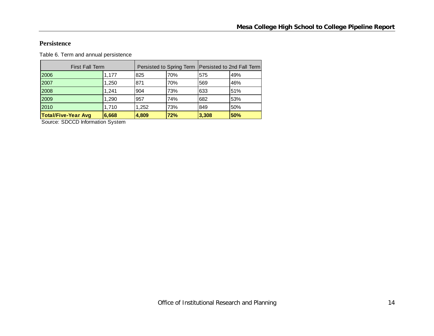#### **Persistence**

Table 6. Term and annual persistence

| <b>First Fall Term</b>     |       |       |     |       | Persisted to Spring Term   Persisted to 2nd Fall Term |
|----------------------------|-------|-------|-----|-------|-------------------------------------------------------|
| 2006                       | 1,177 | 825   | 70% | 575   | 49%                                                   |
| 2007                       | 1,250 | 871   | 70% | 569   | 46%                                                   |
| 2008                       | 1.241 | 904   | 73% | 633   | 51%                                                   |
| 2009                       | 1,290 | 957   | 74% | 682   | 53%                                                   |
| 2010                       | 1,710 | 1,252 | 73% | 849   | 50%                                                   |
| <b>Total/Five-Year Avg</b> | 6,668 | 4,809 | 72% | 3,308 | 50%                                                   |

Source: SDCCD Information System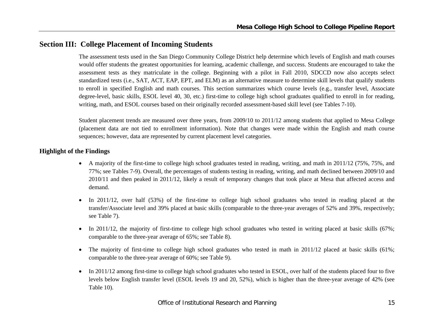## **Section III: College Placement of Incoming Students**

The assessment tests used in the San Diego Community College District help determine which levels of English and math courses would offer students the greatest opportunities for learning, academic challenge, and success. Students are encouraged to take the assessment tests as they matriculate in the college. Beginning with a pilot in Fall 2010, SDCCD now also accepts select standardized tests (i.e., SAT, ACT, EAP, EPT, and ELM) as an alternative measure to determine skill levels that qualify students to enroll in specified English and math courses. This section summarizes which course levels (e.g., transfer level, Associate degree-level, basic skills, ESOL level 40, 30, etc.) first-time to college high school graduates qualified to enroll in for reading, writing, math, and ESOL courses based on their originally recorded assessment-based skill level (see Tables 7-10).

Student placement trends are measured over three years, from 2009/10 to 2011/12 among students that applied to Mesa College (placement data are not tied to enrollment information). Note that changes were made within the English and math course sequences; however, data are represented by current placement level categories.

#### **Highlight of the Findings**

- A majority of the first-time to college high school graduates tested in reading, writing, and math in 2011/12 (75%, 75%, and 77%; see Tables 7-9). Overall, the percentages of students testing in reading, writing, and math declined between 2009/10 and 2010/11 and then peaked in 2011/12, likely a result of temporary changes that took place at Mesa that affected access and demand.
- $\bullet$  In 2011/12, over half (53%) of the first-time to college high school graduates who tested in reading placed at the transfer/Associate level and 39% placed at basic skills (comparable to the three-year averages of 52% and 39%, respectively; see Table 7).
- $\bullet$ In 2011/12, the majority of first-time to college high school graduates who tested in writing placed at basic skills (67%; comparable to the three-year average of 65%; see Table 8).
- $\bullet$ The majority of first-time to college high school graduates who tested in math in 2011/12 placed at basic skills (61%; comparable to the three-year average of 60%; see Table 9).
- $\bullet$  In 2011/12 among first-time to college high school graduates who tested in ESOL, over half of the students placed four to five levels below English transfer level (ESOL levels 19 and 20, 52%), which is higher than the three-year average of 42% (see Table 10).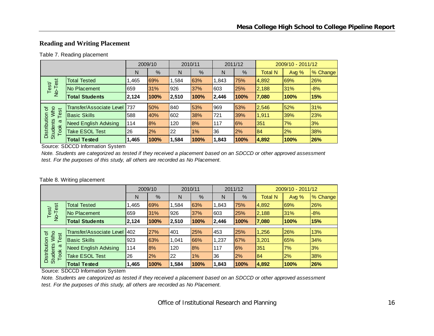#### **Reading and Writing Placement**

#### Table 7. Reading placement

|                                         |                              |       | 2009/10 |       | 2010/11 |       | 2011/12 |                | 2009/10 - 2011/12 |          |
|-----------------------------------------|------------------------------|-------|---------|-------|---------|-------|---------|----------------|-------------------|----------|
|                                         |                              | N     | %       | N     | %       | N     | %       | <b>Total N</b> | Avg $%$           | % Change |
|                                         | <b>Total Tested</b>          | 1,465 | 69%     | 1,584 | 63%     | 1,843 | 75%     | 4,892          | <b>69%</b>        | 26%      |
| No-Test<br>Test                         | No Placement                 | 659   | 31%     | 926   | 37%     | 603   | 25%     | 2,188          | 31%               | $-8%$    |
|                                         | <b>Total Students</b>        | 2,124 | 100%    | 2,510 | 100%    | 2,446 | 100%    | 7,080          | 100%              | 15%      |
|                                         |                              |       |         |       |         |       |         |                |                   |          |
| ৳                                       | Transfer/Associate Level     | 737   | 50%     | 840   | 53%     | 969   | 53%     | 2,546          | 52%               | 31%      |
| <b>Nho</b><br>Test                      | <b>Basic Skills</b>          | 588   | 40%     | 602   | 38%     | 721   | 39%     | 1,911          | 39%               | 23%      |
| σ                                       | <b>Need English Advising</b> | 114   | 8%      | 120   | 8%      | 117   | 6%      | 351            | 7%                | 3%       |
| Distribution<br><b>Students</b><br>Took | <b>Take ESOL Test</b>        | 26    | 2%      | 22    | 1%      | 36    | 2%      | 84             | 2%                | 38%      |
|                                         | <b>Total Tested</b>          | 1,465 | 100%    | 1,584 | 100%    | 1,843 | 100%    | 4,892          | 100%              | 26%      |

Source: SDCCD Information System

*Note. Students are categorized as tested if they received a placement based on an SDCCD or other approved assessment test. For the purposes of this study, all others are recorded as No Placement.*

#### Table 8. Writing placement

|                                         |                              |            | 2009/10   |       | 2010/11 |       | 2011/12 |                | 2009/10 - 2011/12 |          |
|-----------------------------------------|------------------------------|------------|-----------|-------|---------|-------|---------|----------------|-------------------|----------|
|                                         |                              | N          | %         | N     | %       | N     | %       | <b>Total N</b> | Avg $%$           | % Change |
| est                                     | <b>Total Tested</b>          | ,465       | 69%       | 1.584 | 63%     | 1,843 | 75%     | 4,892          | 69%               | 26%      |
| Test<br>No-T                            | No Placement                 | 659        | 31%       | 926   | 37%     | 603   | 25%     | 2,188          | 31%               | $-8%$    |
|                                         | <b>Total Students</b>        | 2,124      | 100%      | 2,510 | 100%    | 2,446 | 100%    | 7,080          | 100%              | 15%      |
|                                         | Transfer/Associate Level     | <b>402</b> | 27%       | 401   | 25%     | 453   | 25%     | 1,256          | 26%               | 13%      |
| <b>MMO</b><br>৳<br>est                  |                              |            |           |       |         |       |         |                |                   |          |
| ⊢                                       | <b>Basic Skills</b>          | 923        | 63%       | 1.041 | 66%     | 1,237 | 67%     | 3,201          | 65%               | 34%      |
| ω                                       | <b>Need English Advising</b> | 114        | <b>8%</b> | 120   | 8%      | 117   | 6%      | 351            | 7%                | 3%       |
| Distribution<br><b>Students</b><br>Took | <b>Take ESOL Test</b>        | 26         | 2%        | 22    | $1\%$   | 36    | 2%      | 184            | 2%                | 38%      |
|                                         | <b>Total Tested</b>          | 1,465      | 100%      | 1,584 | 100%    | 1,843 | 100%    | 4,892          | 100%              | 26%      |

Source: SDCCD Information System

*Note. Students are categorized as tested if they received a placement based on an SDCCD or other approved assessment test. For the purposes of this study, all others are recorded as No Placement.*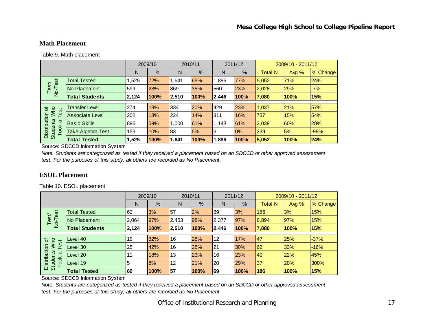#### **Math Placement**

Table 9. Math placement

|                                                |                        |       | 2009/10 |       | 2010/11 |       | 2011/12 |                | 2009/10 - 2011/12 |          |
|------------------------------------------------|------------------------|-------|---------|-------|---------|-------|---------|----------------|-------------------|----------|
|                                                |                        | N     | %       | N     | %       | N     | %       | <b>Total N</b> | Avg $%$           | % Change |
| est                                            | <b>Total Tested</b>    | 1,525 | 72%     | 1,641 | 65%     | ,886  | 77%     | 5,052          | 71%               | 24%      |
| Test<br>$\overline{2}$                         | No Placement           | 599   | 28%     | 869   | 35%     | 560   | 23%     | 2,028          | 29%               | $-7%$    |
|                                                | <b>Total Students</b>  | 2,124 | 100%    | 2,510 | 100%    | 2,446 | 100%    | 7,080          | 100%              | 15%      |
|                                                | <b>Transfer Level</b>  | 274   | 18%     | 334   | 20%     | 429   | 23%     | 1,037          | 21%               | 57%      |
| Who<br>'ত<br>est                               |                        |       |         |       |         |       |         |                |                   |          |
|                                                | <b>Associate Level</b> | 202   | 13%     | 224   | 14%     | 311   | 16%     | 737            | 15%               | 54%      |
| ω                                              | <b>Basic Skills</b>    | 896   | 59%     | 1,000 | 61%     | 1,143 | 61%     | 3,039          | 60%               | 28%      |
| Distribution<br><b>Students</b><br><b>Took</b> | Take Algebra Test      | 153   | 10%     | 83    | 5%      | 3     | 0%      | 239            | 5%                | $-98%$   |
|                                                | <b>Total Tested</b>    | 1,525 | 100%    | 1,641 | 100%    | 1,886 | 100%    | 5,052          | 100%              | 24%      |

Source: SDCCD Information System

*Note. Students are categorized as tested if they received a placement based on an SDCCD or other approved assessment test. For the purposes of this study, all others are recorded as No Placement.*

#### **ESOL Placement**

Table 10. ESOL placement

|                                                                         |                       | 2009/10 |      | 2010/11 |      | 2011/12 |      | 2009/10 - 2011/12 |       |          |
|-------------------------------------------------------------------------|-----------------------|---------|------|---------|------|---------|------|-------------------|-------|----------|
|                                                                         |                       | N       | %    | N       | %    | N       | $\%$ | <b>Total N</b>    | Avg % | % Change |
| est<br>Test/<br>$\overline{P}$                                          | <b>Total Tested</b>   | 60      | 3%   | 57      | 2%   | 69      | 3%   | 186               | 3%    | 15%      |
|                                                                         | No Placement          | 2,064   | 97%  | 2,453   | 98%  | 2,377   | 97%  | 6,894             | 97%   | 15%      |
|                                                                         | <b>Total Students</b> | 2,124   | 100% | 2,510   | 100% | 2,446   | 100% | 7,080             | 100%  | 15%      |
|                                                                         |                       |         |      |         |      |         |      |                   |       |          |
| <b>Mho</b><br>৳<br>Test<br>Distribution<br><b>Students</b><br>ω<br>Took | Level 40              | 19      | 32%  | 16      | 28%  | 12      | 17%  | 47                | 25%   | $-37%$   |
|                                                                         | Level 30              | 25      | 42%  | 16      | 28%  | 21      | 30%  | 62                | 33%   | $-16%$   |
|                                                                         | Level 20              | 11      | 18%  | 13      | 23%  | 16      | 23%  | 40                | 22%   | 45%      |
|                                                                         | Level 19              | 5       | 8%   | 12      | 21%  | 20      | 29%  | 37                | 20%   | 300%     |
|                                                                         | <b>Total Tested</b>   | 60      | 100% | 57      | 100% | 69      | 100% | 186               | 100%  | 15%      |

Source: SDCCD Information System

*Note. Students are categorized as tested if they received a placement based on an SDCCD or other approved assessment test. For the purposes of this study, all others are recorded as No Placement.*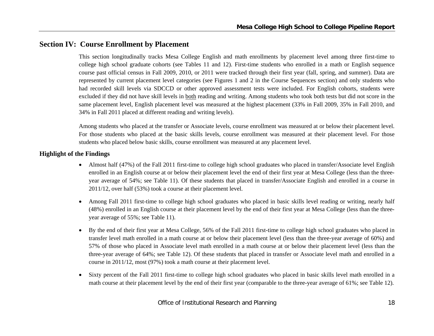# **Section IV: Course Enrollment by Placement**

This section longitudinally tracks Mesa College English and math enrollments by placement level among three first-time to college high school graduate cohorts (see Tables 11 and 12). First-time students who enrolled in a math or English sequence course past official census in Fall 2009, 2010, or 2011 were tracked through their first year (fall, spring, and summer). Data are represented by current placement level categories (see Figures 1 and 2 in the Course Sequences section) and only students who had recorded skill levels via SDCCD or other approved assessment tests were included. For English cohorts, students were excluded if they did not have skill levels in both reading and writing. Among students who took both tests but did not score in the same placement level, English placement level was measured at the highest placement (33% in Fall 2009, 35% in Fall 2010, and 34% in Fall 2011 placed at different reading and writing levels).

Among students who placed at the transfer or Associate levels, course enrollment was measured at or below their placement level. For those students who placed at the basic skills levels, course enrollment was measured at their placement level. For those students who placed below basic skills, course enrollment was measured at any placement level.

#### **Highlight of the Findings**

- Almost half (47%) of the Fall 2011 first-time to college high school graduates who placed in transfer/Associate level English enrolled in an English course at or below their placement level the end of their first year at Mesa College (less than the threeyear average of 54%; see Table 11). Of these students that placed in transfer/Associate English and enrolled in a course in 2011/12, over half (53%) took a course at their placement level.
- 0 Among Fall 2011 first-time to college high school graduates who placed in basic skills level reading or writing, nearly half (48%) enrolled in an English course at their placement level by the end of their first year at Mesa College (less than the threeyear average of 55%; see Table 11).
- $\bullet$  By the end of their first year at Mesa College, 56% of the Fall 2011 first-time to college high school graduates who placed in transfer level math enrolled in a math course at or below their placement level (less than the three-year average of 60%) and 57% of those who placed in Associate level math enrolled in a math course at or below their placement level (less than the three-year average of 64%; see Table 12). Of these students that placed in transfer or Associate level math and enrolled in a course in 2011/12, most (97%) took a math course at their placement level.
- $\bullet$  Sixty percent of the Fall 2011 first-time to college high school graduates who placed in basic skills level math enrolled in a math course at their placement level by the end of their first year (comparable to the three-year average of 61%; see Table 12).